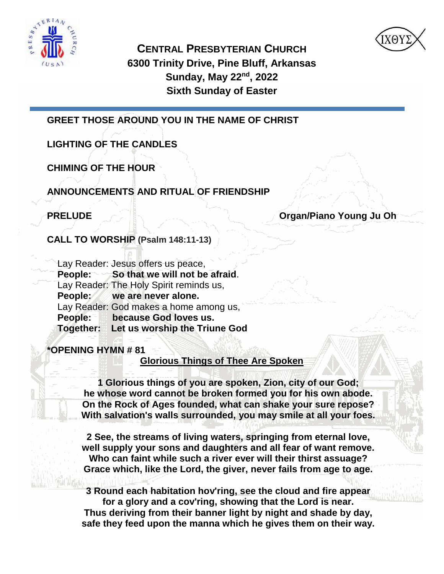



**CENTRAL PRESBYTERIAN CHURCH 6300 Trinity Drive, Pine Bluff, Arkansas Sunday, May 22nd, 2022 Sixth Sunday of Easter**

**GREET THOSE AROUND YOU IN THE NAME OF CHRIST** 

**LIGHTING OF THE CANDLES**

**CHIMING OF THE HOUR**

**ANNOUNCEMENTS AND RITUAL OF FRIENDSHIP**

**PRELUDE Organ/Piano Young Ju Oh** 

**CALL TO WORSHIP (Psalm 148:11-13)**

| Lay Reader: Jesus offers us peace,      |
|-----------------------------------------|
| People: So that we will not be afraid.  |
| Lay Reader: The Holy Spirit reminds us, |
| People: we are never alone.             |
| Lay Reader: God makes a home among us,  |
| People: because God loves us.           |
| Together: Let us worship the Triune God |

**\*OPENING HYMN # 81**

**Glorious Things of Thee Are Spoken**

**1 Glorious things of you are spoken, Zion, city of our God; he whose word cannot be broken formed you for his own abode. On the Rock of Ages founded, what can shake your sure repose? With salvation's walls surrounded, you may smile at all your foes.**

**2 See, the streams of living waters, springing from eternal love, well supply your sons and daughters and all fear of want remove. Who can faint while such a river ever will their thirst assuage? Grace which, like the Lord, the giver, never fails from age to age.**

**3 Round each habitation hov'ring, see the cloud and fire appear for a glory and a cov'ring, showing that the Lord is near. Thus deriving from their banner light by night and shade by day, safe they feed upon the manna which he gives them on their way.**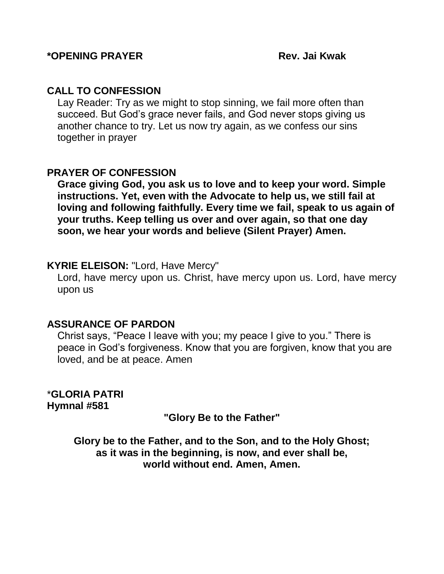# **CALL TO CONFESSION**

Lay Reader: Try as we might to stop sinning, we fail more often than succeed. But God's grace never fails, and God never stops giving us another chance to try. Let us now try again, as we confess our sins together in prayer

# **PRAYER OF CONFESSION**

**Grace giving God, you ask us to love and to keep your word. Simple instructions. Yet, even with the Advocate to help us, we still fail at loving and following faithfully. Every time we fail, speak to us again of your truths. Keep telling us over and over again, so that one day soon, we hear your words and believe (Silent Prayer) Amen.**

# **KYRIE ELEISON:** "Lord, Have Mercy"

Lord, have mercy upon us. Christ, have mercy upon us. Lord, have mercy upon us

# **ASSURANCE OF PARDON**

Christ says, "Peace I leave with you; my peace I give to you." There is peace in God's forgiveness. Know that you are forgiven, know that you are loved, and be at peace. Amen

\***GLORIA PATRI Hymnal #581**

# **"Glory Be to the Father"**

**Glory be to the Father, and to the Son, and to the Holy Ghost; as it was in the beginning, is now, and ever shall be, world without end. Amen, Amen.**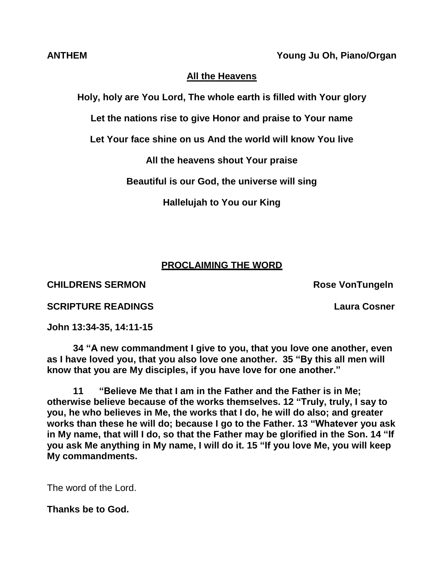**ANTHEM Young Ju Oh, Piano/Organ**

# **All the Heavens**

**Holy, holy are You Lord, The whole earth is filled with Your glory**

**Let the nations rise to give Honor and praise to Your name**

**Let Your face shine on us And the world will know You live**

**All the heavens shout Your praise**

**Beautiful is our God, the universe will sing**

**Hallelujah to You our King**

# **PROCLAIMING THE WORD**

**CHILDRENS SERMON ROSE VONTUNGERS** 

**SCRIPTURE READINGS Laura Cosner**

**John 13:34-35, 14:11-15**

**34 "A new commandment I give to you, that you love one another, even as I have loved you, that you also love one another. 35 "By this all men will know that you are My disciples, if you have love for one another."**

**11 "Believe Me that I am in the Father and the Father is in Me; otherwise believe because of the works themselves. 12 "Truly, truly, I say to you, he who believes in Me, the works that I do, he will do also; and greater works than these he will do; because I go to the Father. 13 "Whatever you ask in My name, that will I do, so that the Father may be glorified in the Son. 14 "If you ask Me anything in My name, I will do it. 15 "If you love Me, you will keep My commandments.**

The word of the Lord.

**Thanks be to God.**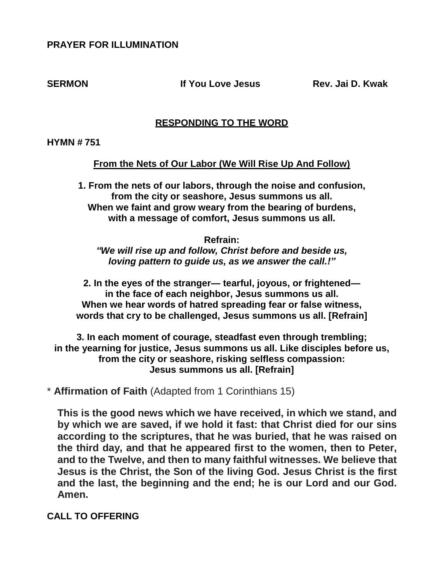# **PRAYER FOR ILLUMINATION**

**SERMON If You Love Jesus Rev. Jai D. Kwak**

## **RESPONDING TO THE WORD**

**HYMN # 751** 

**From the Nets of Our Labor (We Will Rise Up And Follow)**

**1. From the nets of our labors, through the noise and confusion, from the city or seashore, Jesus summons us all. When we faint and grow weary from the bearing of burdens, with a message of comfort, Jesus summons us all.**

**Refrain:** *"We will rise up and follow, Christ before and beside us, loving pattern to guide us, as we answer the call.!"*

**2. In the eyes of the stranger— tearful, joyous, or frightened in the face of each neighbor, Jesus summons us all. When we hear words of hatred spreading fear or false witness, words that cry to be challenged, Jesus summons us all. [Refrain]**

**3. In each moment of courage, steadfast even through trembling; in the yearning for justice, Jesus summons us all. Like disciples before us, from the city or seashore, risking selfless compassion: Jesus summons us all. [Refrain]**

\* **Affirmation of Faith** (Adapted from 1 Corinthians 15)

**This is the good news which we have received, in which we stand, and by which we are saved, if we hold it fast: that Christ died for our sins according to the scriptures, that he was buried, that he was raised on the third day, and that he appeared first to the women, then to Peter, and to the Twelve, and then to many faithful witnesses. We believe that Jesus is the Christ, the Son of the living God. Jesus Christ is the first and the last, the beginning and the end; he is our Lord and our God. Amen.**

**CALL TO OFFERING**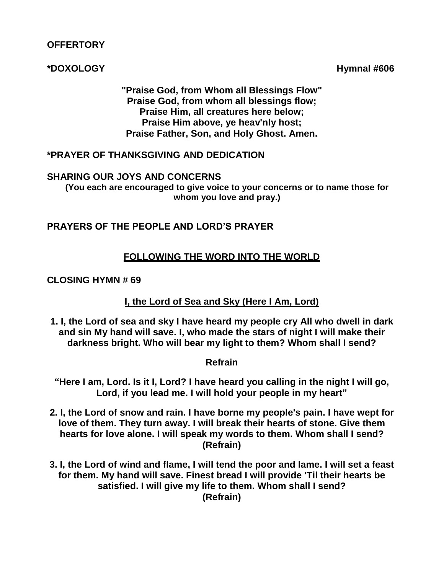# **OFFERTORY**

# **\*DOXOLOGY Hymnal #606**

**"Praise God, from Whom all Blessings Flow" Praise God, from whom all blessings flow; Praise Him, all creatures here below; Praise Him above, ye heav'nly host; Praise Father, Son, and Holy Ghost. Amen.**

# **\*PRAYER OF THANKSGIVING AND DEDICATION**

#### **SHARING OUR JOYS AND CONCERNS**

**(You each are encouraged to give voice to your concerns or to name those for whom you love and pray.)**

# **PRAYERS OF THE PEOPLE AND LORD'S PRAYER**

# **FOLLOWING THE WORD INTO THE WORLD**

## **CLOSING HYMN # 69**

# **I, the Lord of Sea and Sky (Here I Am, Lord)**

**1. I, the Lord of sea and sky I have heard my people cry All who dwell in dark and sin My hand will save. I, who made the stars of night I will make their darkness bright. Who will bear my light to them? Whom shall I send?**

## **Refrain**

**"Here I am, Lord. Is it I, Lord? I have heard you calling in the night I will go, Lord, if you lead me. I will hold your people in my heart"**

- **2. I, the Lord of snow and rain. I have borne my people's pain. I have wept for love of them. They turn away. I will break their hearts of stone. Give them hearts for love alone. I will speak my words to them. Whom shall I send? (Refrain)**
- **3. I, the Lord of wind and flame, I will tend the poor and lame. I will set a feast for them. My hand will save. Finest bread I will provide 'Til their hearts be satisfied. I will give my life to them. Whom shall I send? (Refrain)**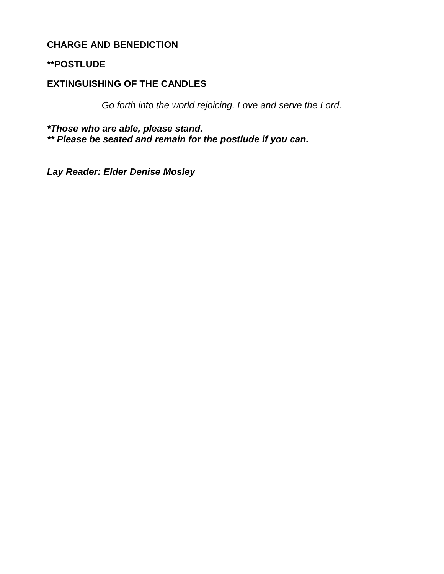# **CHARGE AND BENEDICTION**

# **\*\*POSTLUDE**

# **EXTINGUISHING OF THE CANDLES**

*Go forth into the world rejoicing. Love and serve the Lord.*

*\*Those who are able, please stand.*

*\*\* Please be seated and remain for the postlude if you can.*

*Lay Reader: Elder Denise Mosley*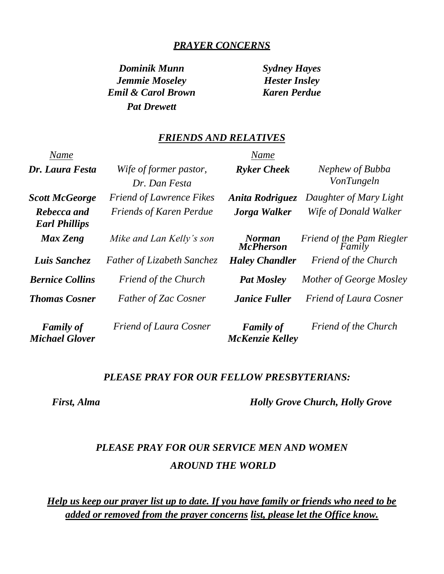# *PRAYER CONCERNS*

*Dominik Munn Sydney Hayes Jemmie Moseley Hester Insley Emil & Carol Brown Karen Perdue Pat Drewett*

#### *FRIENDS AND RELATIVES*

| Name                                      |                                   | Name                                       |                                     |
|-------------------------------------------|-----------------------------------|--------------------------------------------|-------------------------------------|
| Dr. Laura Festa                           | Wife of former pastor,            | <b>Ryker Cheek</b>                         | Nephew of Bubba                     |
|                                           | Dr. Dan Festa                     |                                            | VonTungeln                          |
| <b>Scott McGeorge</b>                     | <b>Friend of Lawrence Fikes</b>   | <b>Anita Rodriguez</b>                     | Daughter of Mary Light              |
| Rebecca and<br><b>Earl Phillips</b>       | <b>Friends of Karen Perdue</b>    | Jorga Walker                               | Wife of Donald Walker               |
| <b>Max Zeng</b>                           | Mike and Lan Kelly's son          | <b>Norman</b><br><b>McPherson</b>          | Friend of the Pam Riegler<br>Family |
| Luis Sanchez                              | <b>Father of Lizabeth Sanchez</b> | <b>Haley Chandler</b>                      | <b>Friend of the Church</b>         |
| <b>Bernice Collins</b>                    | <b>Friend of the Church</b>       | <b>Pat Mosley</b>                          | Mother of George Mosley             |
| <b>Thomas Cosner</b>                      | <b>Father of Zac Cosner</b>       | <b>Janice Fuller</b>                       | <b>Friend of Laura Cosner</b>       |
| <b>Family of</b><br><b>Michael Glover</b> | <b>Friend of Laura Cosner</b>     | <b>Family of</b><br><b>McKenzie Kelley</b> | <b>Friend of the Church</b>         |

#### *PLEASE PRAY FOR OUR FELLOW PRESBYTERIANS:*

 *First, Alma Holly Grove Church, Holly Grove*

# *PLEASE PRAY FOR OUR SERVICE MEN AND WOMEN AROUND THE WORLD*

*Help us keep our prayer list up to date. If you have family or friends who need to be added or removed from the prayer concerns list, please let the Office know.*